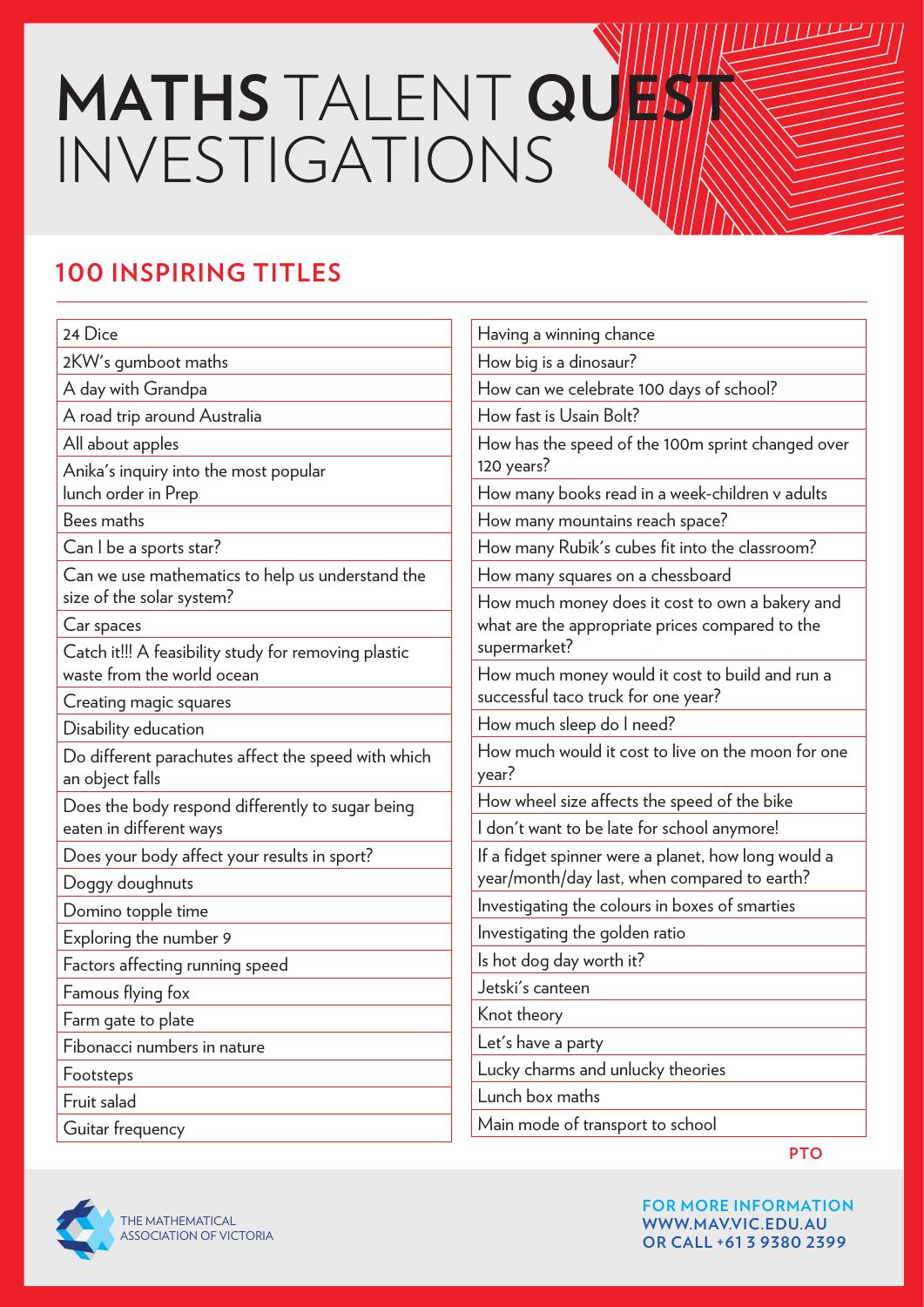## **MATHS TALENT QUEET** INVESTIGATIONS

## **100 INSPIRING TITLES**

| 24 Dice                                                                     | Having a winning chance                                                                             |  |
|-----------------------------------------------------------------------------|-----------------------------------------------------------------------------------------------------|--|
| 2KW's gumboot maths                                                         | How big is a dinosaur?                                                                              |  |
| A day with Grandpa                                                          | How can we celebrate 100 days of school?                                                            |  |
| A road trip around Australia                                                | How fast is Usain Bolt?                                                                             |  |
| All about apples                                                            | How has the speed of the 100m sprint changed over                                                   |  |
| Anika's inquiry into the most popular                                       | 120 years?                                                                                          |  |
| lunch order in Prep                                                         | How many books read in a week-children v adults                                                     |  |
| Bees maths                                                                  | How many mountains reach space?                                                                     |  |
| Can I be a sports star?                                                     | How many Rubik's cubes fit into the classroom?                                                      |  |
| Can we use mathematics to help us understand the                            | How many squares on a chessboard                                                                    |  |
| size of the solar system?                                                   | How much money does it cost to own a bakery and                                                     |  |
| Car spaces                                                                  | what are the appropriate prices compared to the                                                     |  |
| Catch it!!! A feasibility study for removing plastic                        | supermarket?                                                                                        |  |
| waste from the world ocean                                                  | How much money would it cost to build and run a<br>successful taco truck for one year?              |  |
| Creating magic squares                                                      |                                                                                                     |  |
| Disability education                                                        | How much sleep do I need?                                                                           |  |
| Do different parachutes affect the speed with which<br>an object falls      | How much would it cost to live on the moon for one<br>year?                                         |  |
| Does the body respond differently to sugar being<br>eaten in different ways | How wheel size affects the speed of the bike                                                        |  |
|                                                                             | I don't want to be late for school anymore!                                                         |  |
| Does your body affect your results in sport?                                | If a fidget spinner were a planet, how long would a<br>year/month/day last, when compared to earth? |  |
| Doggy doughnuts                                                             |                                                                                                     |  |
| Domino topple time                                                          | Investigating the colours in boxes of smarties                                                      |  |
| Exploring the number 9                                                      | Investigating the golden ratio                                                                      |  |
| Factors affecting running speed                                             | Is hot dog day worth it?                                                                            |  |
| Famous flying fox                                                           | Jetski's canteen                                                                                    |  |
| Farm gate to plate                                                          | Knot theory                                                                                         |  |
| Fibonacci numbers in nature                                                 | Let's have a party                                                                                  |  |
| Footsteps                                                                   | Lucky charms and unlucky theories                                                                   |  |
| Fruit salad                                                                 | Lunch box maths                                                                                     |  |
| Guitar frequency                                                            | Main mode of transport to school                                                                    |  |



**FOR MORE INFORMATION WWW.MAV.VIC.EDU.AU OR CALL +61 3 9380 2399**